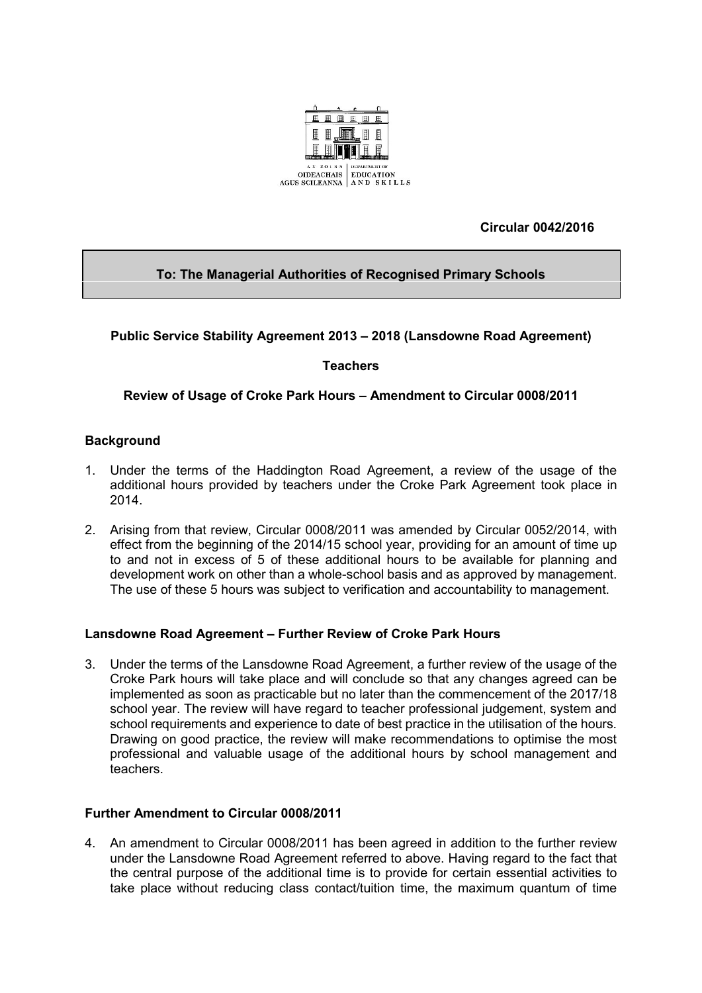

**Circular 0042/2016**

# **To: The Managerial Authorities of Recognised Primary Schools**

## **Public Service Stability Agreement 2013 – 2018 (Lansdowne Road Agreement)**

## **Teachers**

## **Review of Usage of Croke Park Hours – Amendment to Circular 0008/2011**

### **Background**

- 1. Under the terms of the Haddington Road Agreement, a review of the usage of the additional hours provided by teachers under the Croke Park Agreement took place in 2014.
- 2. Arising from that review, Circular 0008/2011 was amended by Circular 0052/2014, with effect from the beginning of the 2014/15 school year, providing for an amount of time up to and not in excess of 5 of these additional hours to be available for planning and development work on other than a whole-school basis and as approved by management. The use of these 5 hours was subject to verification and accountability to management.

### **Lansdowne Road Agreement – Further Review of Croke Park Hours**

3. Under the terms of the Lansdowne Road Agreement, a further review of the usage of the Croke Park hours will take place and will conclude so that any changes agreed can be implemented as soon as practicable but no later than the commencement of the 2017/18 school year. The review will have regard to teacher professional judgement, system and school requirements and experience to date of best practice in the utilisation of the hours. Drawing on good practice, the review will make recommendations to optimise the most professional and valuable usage of the additional hours by school management and teachers.

### **Further Amendment to Circular 0008/2011**

4. An amendment to Circular 0008/2011 has been agreed in addition to the further review under the Lansdowne Road Agreement referred to above. Having regard to the fact that the central purpose of the additional time is to provide for certain essential activities to take place without reducing class contact/tuition time, the maximum quantum of time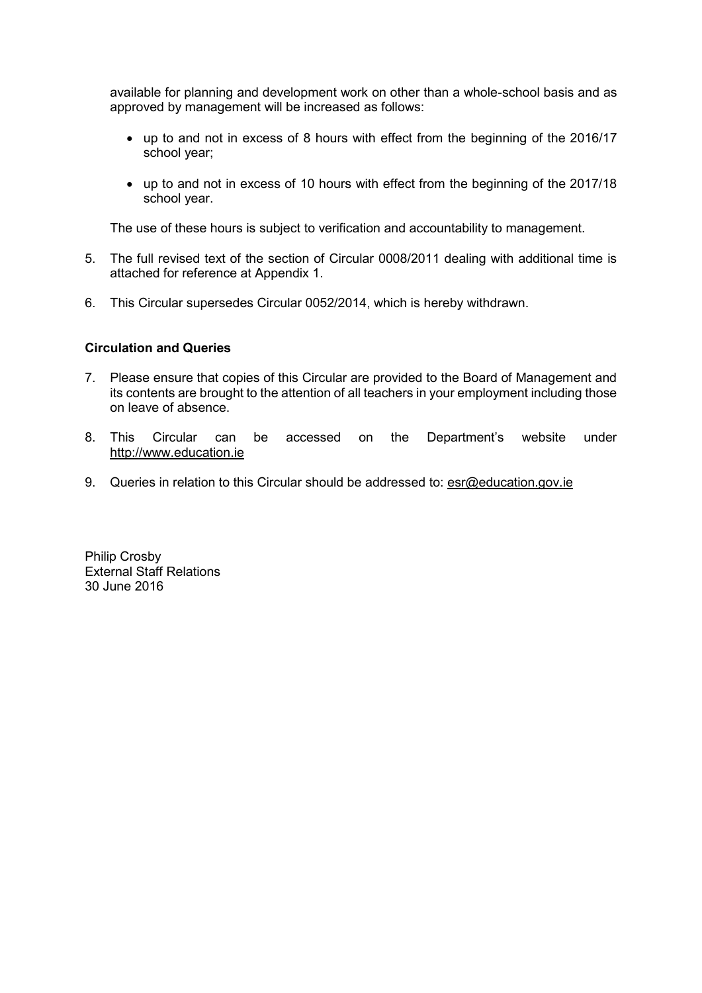available for planning and development work on other than a whole-school basis and as approved by management will be increased as follows:

- up to and not in excess of 8 hours with effect from the beginning of the 2016/17 school year;
- up to and not in excess of 10 hours with effect from the beginning of the 2017/18 school year.

The use of these hours is subject to verification and accountability to management.

- 5. The full revised text of the section of Circular 0008/2011 dealing with additional time is attached for reference at Appendix 1.
- 6. This Circular supersedes Circular 0052/2014, which is hereby withdrawn.

#### **Circulation and Queries**

- 7. Please ensure that copies of this Circular are provided to the Board of Management and its contents are brought to the attention of all teachers in your employment including those on leave of absence.
- 8. This Circular can be accessed on the Department's website under [http://www.education.ie](http://www.education.ie/)
- 9. Queries in relation to this Circular should be addressed to: [esr@education.gov.ie](mailto:esr@education.gov.ie)

Philip Crosby External Staff Relations 30 June 2016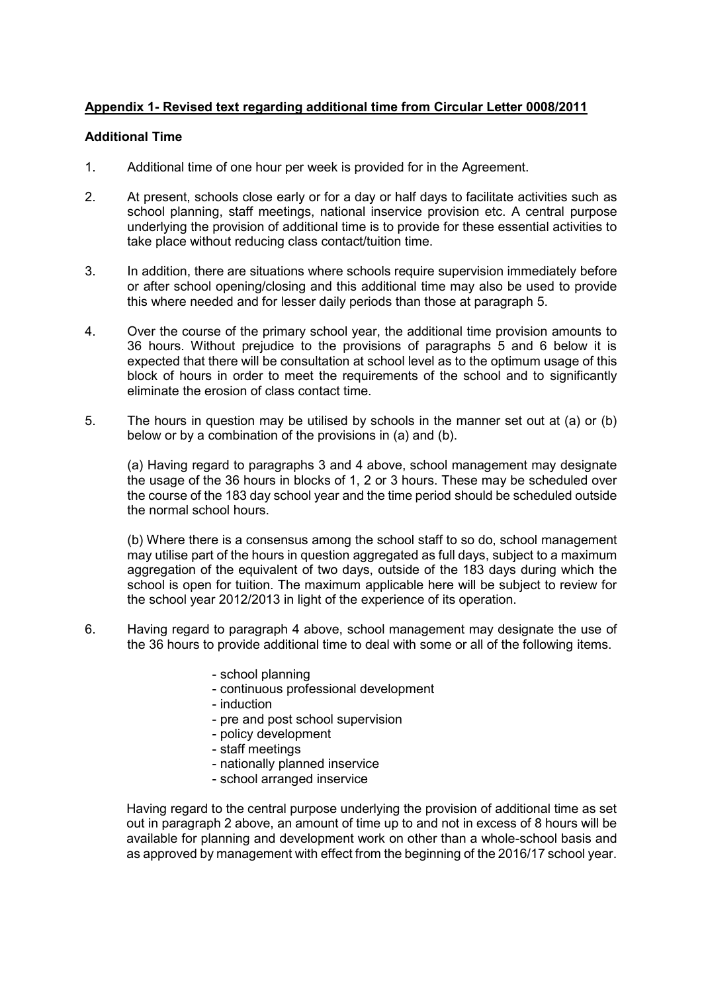# **Appendix 1- Revised text regarding additional time from Circular Letter 0008/2011**

#### **Additional Time**

- 1. Additional time of one hour per week is provided for in the Agreement.
- 2. At present, schools close early or for a day or half days to facilitate activities such as school planning, staff meetings, national inservice provision etc. A central purpose underlying the provision of additional time is to provide for these essential activities to take place without reducing class contact/tuition time.
- 3. In addition, there are situations where schools require supervision immediately before or after school opening/closing and this additional time may also be used to provide this where needed and for lesser daily periods than those at paragraph 5.
- 4. Over the course of the primary school year, the additional time provision amounts to 36 hours. Without prejudice to the provisions of paragraphs 5 and 6 below it is expected that there will be consultation at school level as to the optimum usage of this block of hours in order to meet the requirements of the school and to significantly eliminate the erosion of class contact time.
- 5. The hours in question may be utilised by schools in the manner set out at (a) or (b) below or by a combination of the provisions in (a) and (b).

(a) Having regard to paragraphs 3 and 4 above, school management may designate the usage of the 36 hours in blocks of 1, 2 or 3 hours. These may be scheduled over the course of the 183 day school year and the time period should be scheduled outside the normal school hours.

(b) Where there is a consensus among the school staff to so do, school management may utilise part of the hours in question aggregated as full days, subject to a maximum aggregation of the equivalent of two days, outside of the 183 days during which the school is open for tuition. The maximum applicable here will be subject to review for the school year 2012/2013 in light of the experience of its operation.

- 6. Having regard to paragraph 4 above, school management may designate the use of the 36 hours to provide additional time to deal with some or all of the following items.
	- school planning
	- continuous professional development
	- induction
	- pre and post school supervision
	- policy development
	- staff meetings
	- nationally planned inservice
	- school arranged inservice

Having regard to the central purpose underlying the provision of additional time as set out in paragraph 2 above, an amount of time up to and not in excess of 8 hours will be available for planning and development work on other than a whole-school basis and as approved by management with effect from the beginning of the 2016/17 school year.